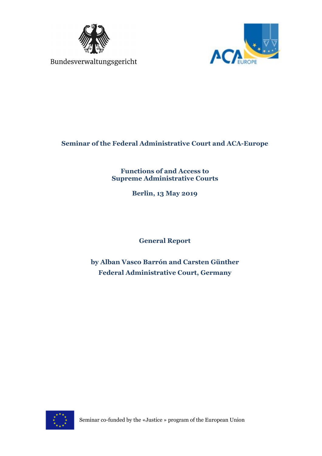



# **Seminar of the Federal Administrative Court and ACA-Europe**

**Functions of and Access to Supreme Administrative Courts**

**Berlin, 13 May 2019**

**General Report**

**by Alban Vasco Barrón and Carsten Günther Federal Administrative Court, Germany**

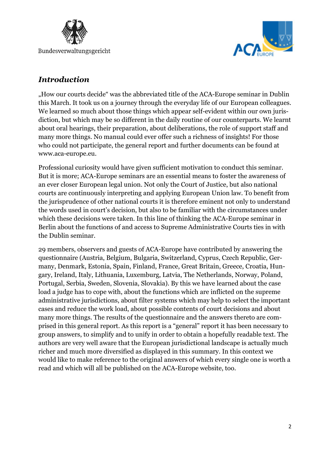



# *Introduction*

"How our courts decide" was the abbreviated title of the ACA-Europe seminar in Dublin this March. It took us on a journey through the everyday life of our European colleagues. We learned so much about those things which appear self-evident within our own jurisdiction, but which may be so different in the daily routine of our counterparts. We learnt about oral hearings, their preparation, about deliberations, the role of support staff and many more things. No manual could ever offer such a richness of insights! For those who could not participate, the general report and further documents can be found at www.aca-europe.eu.

Professional curiosity would have given sufficient motivation to conduct this seminar. But it is more; ACA-Europe seminars are an essential means to foster the awareness of an ever closer European legal union. Not only the Court of Justice, but also national courts are continuously interpreting and applying European Union law. To benefit from the jurisprudence of other national courts it is therefore eminent not only to understand the words used in court's decision, but also to be familiar with the circumstances under which these decisions were taken. In this line of thinking the ACA-Europe seminar in Berlin about the functions of and access to Supreme Administrative Courts ties in with the Dublin seminar.

29 members, observers and guests of ACA-Europe have contributed by answering the questionnaire (Austria, Belgium, Bulgaria, Switzerland, Cyprus, Czech Republic, Germany, Denmark, Estonia, Spain, Finland, France, Great Britain, Greece, Croatia, Hungary, Ireland, Italy, Lithuania, Luxemburg, Latvia, The Netherlands, Norway, Poland, Portugal, Serbia, Sweden, Slovenia, Slovakia). By this we have learned about the case load a judge has to cope with, about the functions which are inflicted on the supreme administrative jurisdictions, about filter systems which may help to select the important cases and reduce the work load, about possible contents of court decisions and about many more things. The results of the questionnaire and the answers thereto are comprised in this general report. As this report is a "general" report it has been necessary to group answers, to simplify and to unify in order to obtain a hopefully readable text. The authors are very well aware that the European jurisdictional landscape is actually much richer and much more diversified as displayed in this summary. In this context we would like to make reference to the original answers of which every single one is worth a read and which will all be published on the ACA-Europe website, too.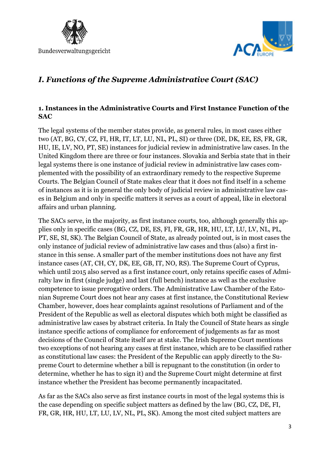



# *I. Functions of the Supreme Administrative Court (SAC)*

### **1. Instances in the Administrative Courts and First Instance Function of the SAC**

The legal systems of the member states provide, as general rules, in most cases either two (AT, BG, CY, CZ, FI, HR, IT, LT, LU, NL, PL, SI) or three (DE, DK, EE, ES, FR, GR, HU, IE, LV, NO, PT, SE) instances for judicial review in administrative law cases. In the United Kingdom there are three or four instances. Slovakia and Serbia state that in their legal systems there is one instance of judicial review in administrative law cases complemented with the possibility of an extraordinary remedy to the respective Supreme Courts. The Belgian Council of State makes clear that it does not find itself in a scheme of instances as it is in general the only body of judicial review in administrative law cases in Belgium and only in specific matters it serves as a court of appeal, like in electoral affairs and urban planning.

The SACs serve, in the majority, as first instance courts, too, although generally this applies only in specific cases (BG, CZ, DE, ES, FI, FR, GR, HR, HU, LT, LU, LV, NL, PL, PT, SE, SI, SK). The Belgian Council of State, as already pointed out, is in most cases the only instance of judicial review of administrative law cases and thus (also) a first instance in this sense. A smaller part of the member institutions does not have any first instance cases (AT, CH, CY, DK, EE, GB, IT, NO, RS). The Supreme Court of Cyprus, which until 2015 also served as a first instance court, only retains specific cases of Admiralty law in first (single judge) and last (full bench) instance as well as the exclusive competence to issue prerogative orders. The Administrative Law Chamber of the Estonian Supreme Court does not hear any cases at first instance, the Constitutional Review Chamber, however, does hear complaints against resolutions of Parliament and of the President of the Republic as well as electoral disputes which both might be classified as administrative law cases by abstract criteria. In Italy the Council of State hears as single instance specific actions of compliance for enforcement of judgements as far as most decisions of the Council of State itself are at stake. The Irish Supreme Court mentions two exceptions of not hearing any cases at first instance, which are to be classified rather as constitutional law cases: the President of the Republic can apply directly to the Supreme Court to determine whether a bill is repugnant to the constitution (in order to determine, whether he has to sign it) and the Supreme Court might determine at first instance whether the President has become permanently incapacitated.

As far as the SACs also serve as first instance courts in most of the legal systems this is the case depending on specific subject matters as defined by the law (BG, CZ, DE, FI, FR, GR, HR, HU, LT, LU, LV, NL, PL, SK). Among the most cited subject matters are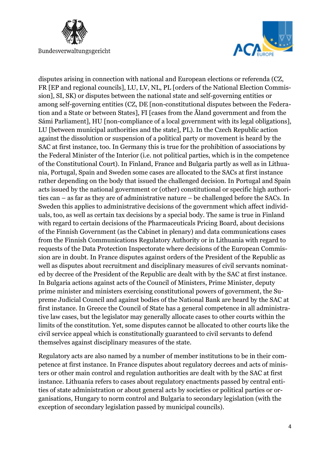



disputes arising in connection with national and European elections or referenda (CZ, FR [EP and regional councils], LU, LV, NL, PL [orders of the National Election Commission], SI, SK) or disputes between the national state and self-governing entities or among self-governing entities (CZ, DE [non-constitutional disputes between the Federation and a State or between States], FI [cases from the Åland government and from the Sámi Parliament], HU [non-compliance of a local government with its legal obligations], LU [between municipal authorities and the state], PL). In the Czech Republic action against the dissolution or suspension of a political party or movement is heard by the SAC at first instance, too. In Germany this is true for the prohibition of associations by the Federal Minister of the Interior (i.e. not political parties, which is in the competence of the Constitutional Court). In Finland, France and Bulgaria partly as well as in Lithuania, Portugal, Spain and Sweden some cases are allocated to the SACs at first instance rather depending on the body that issued the challenged decision. In Portugal and Spain acts issued by the national government or (other) constitutional or specific high authorities can – as far as they are of administrative nature – be challenged before the SACs. In Sweden this applies to administrative decisions of the government which affect individuals, too, as well as certain tax decisions by a special body. The same is true in Finland with regard to certain decisions of the Pharmaceuticals Pricing Board, about decisions of the Finnish Government (as the Cabinet in plenary) and data communications cases from the Finnish Communications Regulatory Authority or in Lithuania with regard to requests of the Data Protection Inspectorate where decisions of the European Commission are in doubt. In France disputes against orders of the President of the Republic as well as disputes about recruitment and disciplinary measures of civil servants nominated by decree of the President of the Republic are dealt with by the SAC at first instance. In Bulgaria actions against acts of the Council of Ministers, Prime Minister, deputy prime minister and ministers exercising constitutional powers of government, the Supreme Judicial Council and against bodies of the National Bank are heard by the SAC at first instance. In Greece the Council of State has a general competence in all administrative law cases, but the legislator may generally allocate cases to other courts within the limits of the constitution. Yet, some disputes cannot be allocated to other courts like the civil service appeal which is constitutionally guaranteed to civil servants to defend themselves against disciplinary measures of the state.

Regulatory acts are also named by a number of member institutions to be in their competence at first instance. In France disputes about regulatory decrees and acts of ministers or other main control and regulation authorities are dealt with by the SAC at first instance. Lithuania refers to cases about regulatory enactments passed by central entities of state administration or about general acts by societies or political parties or organisations, Hungary to norm control and Bulgaria to secondary legislation (with the exception of secondary legislation passed by municipal councils).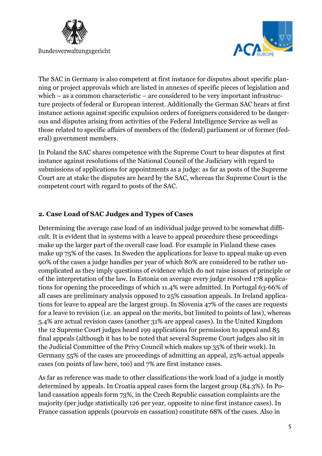



The SAC in Germany is also competent at first instance for disputes about specific planning or project approvals which are listed in annexes of specific pieces of legislation and which – as a common characteristic – are considered to be very important infrastructure projects of federal or European interest. Additionally the German SAC hears at first instance actions against specific expulsion orders of foreigners considered to be dangerous and disputes arising from activities of the Federal Intelligence Service as well as those related to specific affairs of members of the (federal) parliament or of former (federal) government members.

In Poland the SAC shares competence with the Supreme Court to hear disputes at first instance against resolutions of the National Council of the Judiciary with regard to submissions of applications for appointments as a judge: as far as posts of the Supreme Court are at stake the disputes are heard by the SAC, whereas the Supreme Court is the competent court with regard to posts of the SAC.

### **2. Case Load of SAC Judges and Types of Cases**

Determining the average case load of an individual judge proved to be somewhat difficult. It is evident that in systems with a leave to appeal procedure these proceedings make up the larger part of the overall case load. For example in Finland these cases make up 75% of the cases. In Sweden the applications for leave to appeal make up even 90% of the cases a judge handles per year of which 80% are considered to be rather uncomplicated as they imply questions of evidence which do not raise issues of principle or of the interpretation of the law. In Estonia on average every judge resolved 178 applications for opening the proceedings of which 11.4% were admitted. In Portugal 63-66% of all cases are preliminary analysis opposed to 25% cassation appeals. In Ireland applications for leave to appeal are the largest group. In Slovenia 47% of the cases are requests for a leave to revision (i.e. an appeal on the merits, but limited to points of law), whereas 5.4% are actual revision cases (another 31% are appeal cases). In the United Kingdom the 12 Supreme Court judges heard 199 applications for permission to appeal and 85 final appeals (although it has to be noted that several Supreme Court judges also sit in the Judicial Committee of the Privy Council which makes up 35% of their work). In Germany 55% of the cases are proceedings of admitting an appeal, 25% actual appeals cases (on points of law here, too) and 7% are first instance cases.

As far as reference was made to other classifications the work load of a judge is mostly determined by appeals. In Croatia appeal cases form the largest group (84.3%). In Poland cassation appeals form 73%, in the Czech Republic cassation complaints are the majority (per judge statistically 126 per year, opposite to nine first instance cases). In France cassation appeals (pourvois en cassation) constitute 68% of the cases. Also in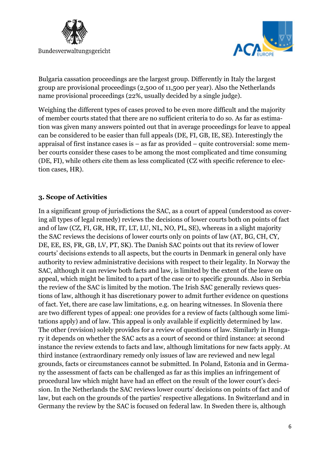



Bulgaria cassation proceedings are the largest group. Differently in Italy the largest group are provisional proceedings (2,500 of 11,500 per year). Also the Netherlands name provisional proceedings (22%, usually decided by a single judge).

Weighing the different types of cases proved to be even more difficult and the majority of member courts stated that there are no sufficient criteria to do so. As far as estimation was given many answers pointed out that in average proceedings for leave to appeal can be considered to be easier than full appeals (DE, FI, GB, IE, SE). Interestingly the appraisal of first instance cases is – as far as provided – quite controversial: some member courts consider these cases to be among the most complicated and time consuming (DE, FI), while others cite them as less complicated (CZ with specific reference to election cases, HR).

### **3. Scope of Activities**

In a significant group of jurisdictions the SAC, as a court of appeal (understood as covering all types of legal remedy) reviews the decisions of lower courts both on points of fact and of law (CZ, FI, GR, HR, IT, LT, LU, NL, NO, PL, SE), whereas in a slight majority the SAC reviews the decisions of lower courts only on points of law (AT, BG, CH, CY, DE, EE, ES, FR, GB, LV, PT, SK). The Danish SAC points out that its review of lower courts' decisions extends to all aspects, but the courts in Denmark in general only have authority to review administrative decisions with respect to their legality. In Norway the SAC, although it can review both facts and law, is limited by the extent of the leave on appeal, which might be limited to a part of the case or to specific grounds. Also in Serbia the review of the SAC is limited by the motion. The Irish SAC generally reviews questions of law, although it has discretionary power to admit further evidence on questions of fact. Yet, there are case law limitations, e.g. on hearing witnesses. In Slovenia there are two different types of appeal: one provides for a review of facts (although some limitations apply) and of law. This appeal is only available if explicitly determined by law. The other (revision) solely provides for a review of questions of law. Similarly in Hungary it depends on whether the SAC acts as a court of second or third instance: at second instance the review extends to facts and law, although limitations for new facts apply. At third instance (extraordinary remedy only issues of law are reviewed and new legal grounds, facts or circumstances cannot be submitted. In Poland, Estonia and in Germany the assessment of facts can be challenged as far as this implies an infringement of procedural law which might have had an effect on the result of the lower court's decision. In the Netherlands the SAC reviews lower courts' decisions on points of fact and of law, but each on the grounds of the parties' respective allegations. In Switzerland and in Germany the review by the SAC is focused on federal law. In Sweden there is, although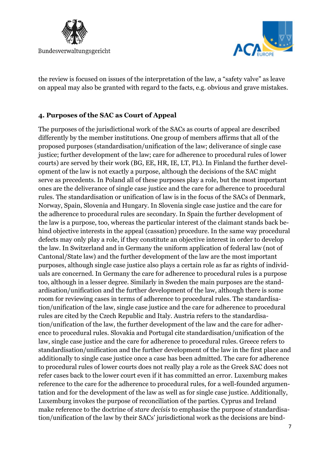



the review is focused on issues of the interpretation of the law, a "safety valve" as leave on appeal may also be granted with regard to the facts, e.g. obvious and grave mistakes.

### **4. Purposes of the SAC as Court of Appeal**

The purposes of the jurisdictional work of the SACs as courts of appeal are described differently by the member institutions. One group of members affirms that all of the proposed purposes (standardisation/unification of the law; deliverance of single case justice; further development of the law; care for adherence to procedural rules of lower courts) are served by their work (BG, EE, HR, IE, LT, PL). In Finland the further development of the law is not exactly a purpose, although the decisions of the SAC might serve as precedents. In Poland all of these purposes play a role, but the most important ones are the deliverance of single case justice and the care for adherence to procedural rules. The standardisation or unification of law is in the focus of the SACs of Denmark, Norway, Spain, Slovenia and Hungary. In Slovenia single case justice and the care for the adherence to procedural rules are secondary. In Spain the further development of the law is a purpose, too, whereas the particular interest of the claimant stands back behind objective interests in the appeal (cassation) procedure. In the same way procedural defects may only play a role, if they constitute an objective interest in order to develop the law. In Switzerland and in Germany the uniform application of federal law (not of Cantonal/State law) and the further development of the law are the most important purposes, although single case justice also plays a certain role as far as rights of individuals are concerned. In Germany the care for adherence to procedural rules is a purpose too, although in a lesser degree. Similarly in Sweden the main purposes are the standardisation/unification and the further development of the law, although there is some room for reviewing cases in terms of adherence to procedural rules. The standardisation/unification of the law, single case justice and the care for adherence to procedural rules are cited by the Czech Republic and Italy. Austria refers to the standardisation/unification of the law, the further development of the law and the care for adherence to procedural rules. Slovakia and Portugal cite standardisation/unification of the law, single case justice and the care for adherence to procedural rules. Greece refers to standardisation/unification and the further development of the law in the first place and additionally to single case justice once a case has been admitted. The care for adherence to procedural rules of lower courts does not really play a role as the Greek SAC does not refer cases back to the lower court even if it has committed an error. Luxemburg makes reference to the care for the adherence to procedural rules, for a well-founded argumentation and for the development of the law as well as for single case justice. Additionally, Luxemburg invokes the purpose of reconciliation of the parties. Cyprus and Ireland make reference to the doctrine of *stare decisis* to emphasise the purpose of standardisation/unification of the law by their SACs' jurisdictional work as the decisions are bind-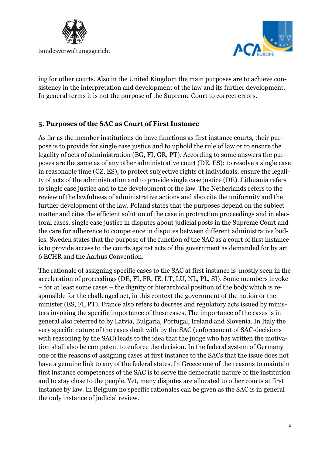



ing for other courts. Also in the United Kingdom the main purposes are to achieve consistency in the interpretation and development of the law and its further development. In general terms it is not the purpose of the Supreme Court to correct errors.

### **5. Purposes of the SAC as Court of First Instance**

As far as the member institutions do have functions as first instance courts, their purpose is to provide for single case justice and to uphold the rule of law or to ensure the legality of acts of administration (BG, FI, GR, PT). According to some answers the purposes are the same as of any other administrative court (DE, ES): to resolve a single case in reasonable time (CZ, ES), to protect subjective rights of individuals, ensure the legality of acts of the administration and to provide single case justice (DE). Lithuania refers to single case justice and to the development of the law. The Netherlands refers to the review of the lawfulness of administrative actions and also cite the uniformity and the further development of the law. Poland states that the purposes depend on the subject matter and cites the efficient solution of the case in protraction proceedings and in electoral cases, single case justice in disputes about judicial posts in the Supreme Court and the care for adherence to competence in disputes between different administrative bodies. Sweden states that the purpose of the function of the SAC as a court of first instance is to provide access to the courts against acts of the government as demanded for by art 6 ECHR and the Aarhus Convention.

The rationale of assigning specific cases to the SAC at first instance is mostly seen in the acceleration of proceedings (DE, FI, FR, IE, LT, LU, NL, PL, SI). Some members invoke – for at least some cases – the dignity or hierarchical position of the body which is responsible for the challenged act, in this context the government of the nation or the minister (ES, FI, PT). France also refers to decrees and regulatory acts issued by ministers invoking the specific importance of these cases. The importance of the cases is in general also referred to by Latvia, Bulgaria, Portugal, Ireland and Slovenia. In Italy the very specific nature of the cases dealt with by the SAC (enforcement of SAC-decisions with reasoning by the SAC) leads to the idea that the judge who has written the motivation shall also be competent to enforce the decision. In the federal system of Germany one of the reasons of assigning cases at first instance to the SACs that the issue does not have a genuine link to any of the federal states. In Greece one of the reasons to maintain first instance competences of the SAC is to serve the democratic nature of the institution and to stay close to the people. Yet, many disputes are allocated to other courts at first instance by law. In Belgium no specific rationales can be given as the SAC is in general the only instance of judicial review.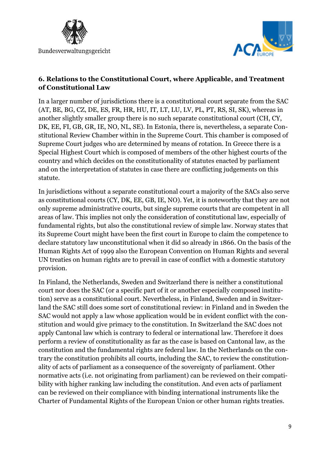



#### **6. Relations to the Constitutional Court, where Applicable, and Treatment of Constitutional Law**

In a larger number of jurisdictions there is a constitutional court separate from the SAC (AT, BE, BG, CZ, DE, ES, FR, HR, HU, IT, LT, LU, LV, PL, PT, RS, SI, SK), whereas in another slightly smaller group there is no such separate constitutional court (CH, CY, DK, EE, FI, GB, GR, IE, NO, NL, SE). In Estonia, there is, nevertheless, a separate Constitutional Review Chamber within in the Supreme Court. This chamber is composed of Supreme Court judges who are determined by means of rotation. In Greece there is a Special Highest Court which is composed of members of the other highest courts of the country and which decides on the constitutionality of statutes enacted by parliament and on the interpretation of statutes in case there are conflicting judgements on this statute.

In jurisdictions without a separate constitutional court a majority of the SACs also serve as constitutional courts (CY, DK, EE, GB, IE, NO). Yet, it is noteworthy that they are not only supreme administrative courts, but single supreme courts that are competent in all areas of law. This implies not only the consideration of constitutional law, especially of fundamental rights, but also the constitutional review of simple law. Norway states that its Supreme Court might have been the first court in Europe to claim the competence to declare statutory law unconstitutional when it did so already in 1866. On the basis of the Human Rights Act of 1999 also the European Convention on Human Rights and several UN treaties on human rights are to prevail in case of conflict with a domestic statutory provision.

In Finland, the Netherlands, Sweden and Switzerland there is neither a constitutional court nor does the SAC (or a specific part of it or another especially composed institution) serve as a constitutional court. Nevertheless, in Finland, Sweden and in Switzerland the SAC still does some sort of constitutional review: in Finland and in Sweden the SAC would not apply a law whose application would be in evident conflict with the constitution and would give primacy to the constitution. In Switzerland the SAC does not apply Cantonal law which is contrary to federal or international law. Therefore it does perform a review of constitutionality as far as the case is based on Cantonal law, as the constitution and the fundamental rights are federal law. In the Netherlands on the contrary the constitution prohibits all courts, including the SAC, to review the constitutionality of acts of parliament as a consequence of the sovereignty of parliament. Other normative acts (i.e. not originating from parliament) can be reviewed on their compatibility with higher ranking law including the constitution. And even acts of parliament can be reviewed on their compliance with binding international instruments like the Charter of Fundamental Rights of the European Union or other human rights treaties.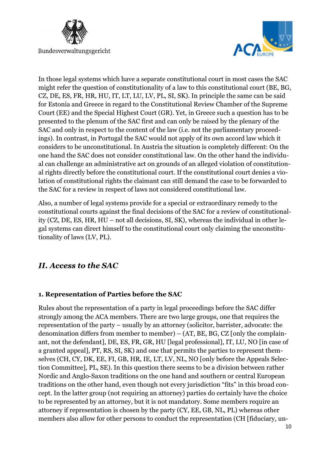



In those legal systems which have a separate constitutional court in most cases the SAC might refer the question of constitutionality of a law to this constitutional court (BE, BG, CZ, DE, ES, FR, HR, HU, IT, LT, LU, LV, PL, SI, SK). In principle the same can be said for Estonia and Greece in regard to the Constitutional Review Chamber of the Supreme Court (EE) and the Special Highest Court (GR). Yet, in Greece such a question has to be presented to the plenum of the SAC first and can only be raised by the plenary of the SAC and only in respect to the content of the law (i.e. not the parliamentary proceedings). In contrast, in Portugal the SAC would not apply of its own accord law which it considers to be unconstitutional. In Austria the situation is completely different: On the one hand the SAC does not consider constitutional law. On the other hand the individual can challenge an administrative act on grounds of an alleged violation of constitutional rights directly before the constitutional court. If the constitutional court denies a violation of constitutional rights the claimant can still demand the case to be forwarded to the SAC for a review in respect of laws not considered constitutional law.

Also, a number of legal systems provide for a special or extraordinary remedy to the constitutional courts against the final decisions of the SAC for a review of constitutionality (CZ, DE, ES, HR, HU – not all decisions, SI, SK), whereas the individual in other legal systems can direct himself to the constitutional court only claiming the unconstitutionality of laws (LV, PL).

# *II. Access to the SAC*

### **1. Representation of Parties before the SAC**

Rules about the representation of a party in legal proceedings before the SAC differ strongly among the ACA members. There are two large groups, one that requires the representation of the party – usually by an attorney (solicitor, barrister, advocate: the denomination differs from member to member) – (AT, BE, BG, CZ [only the complainant, not the defendant], DE, ES, FR, GR, HU [legal professional], IT, LU, NO [in case of a granted appeal], PT, RS, SI, SK) and one that permits the parties to represent themselves (CH, CY, DK, EE, FI, GB, HR, IE, LT, LV, NL, NO [only before the Appeals Selection Committee], PL, SE). In this question there seems to be a division between rather Nordic and Anglo-Saxon traditions on the one hand and southern or central European traditions on the other hand, even though not every jurisdiction "fits" in this broad concept. In the latter group (not requiring an attorney) parties do certainly have the choice to be represented by an attorney, but it is not mandatory. Some members require an attorney if representation is chosen by the party (CY, EE, GB, NL, PL) whereas other members also allow for other persons to conduct the representation (CH [fiduciary, un-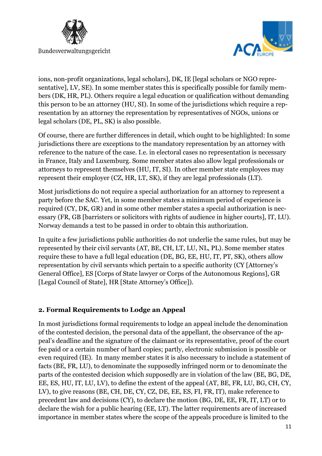



ions, non-profit organizations, legal scholars], DK, IE [legal scholars or NGO representative], LV, SE). In some member states this is specifically possible for family members (DK, HR, PL). Others require a legal education or qualification without demanding this person to be an attorney (HU, SI). In some of the jurisdictions which require a representation by an attorney the representation by representatives of NGOs, unions or legal scholars (DE, PL, SK) is also possible.

Of course, there are further differences in detail, which ought to be highlighted: In some jurisdictions there are exceptions to the mandatory representation by an attorney with reference to the nature of the case. I.e. in electoral cases no representation is necessary in France, Italy and Luxemburg. Some member states also allow legal professionals or attorneys to represent themselves (HU, IT, SI). In other member state employees may represent their employer (CZ, HR, LT, SK), if they are legal professionals (LT).

Most jurisdictions do not require a special authorization for an attorney to represent a party before the SAC. Yet, in some member states a minimum period of experience is required (CY, DK, GR) and in some other member states a special authorization is necessary (FR, GB [barristers or solicitors with rights of audience in higher courts], IT, LU). Norway demands a test to be passed in order to obtain this authorization.

In quite a few jurisdictions public authorities do not underlie the same rules, but may be represented by their civil servants (AT, BE, CH, LT, LU, NL, PL). Some member states require these to have a full legal education (DE, BG, EE, HU, IT, PT, SK), others allow representation by civil servants which pertain to a specific authority (CY [Attorney's General Office], ES [Corps of State lawyer or Corps of the Autonomous Regions], GR [Legal Council of State], HR [State Attorney's Office]).

# **2. Formal Requirements to Lodge an Appeal**

In most jurisdictions formal requirements to lodge an appeal include the denomination of the contested decision, the personal data of the appellant, the observance of the appeal's deadline and the signature of the claimant or its representative, proof of the court fee paid or a certain number of hard copies; partly, electronic submission is possible or even required (IE). In many member states it is also necessary to include a statement of facts (BE, FR, LU), to denominate the supposedly infringed norm or to denominate the parts of the contested decision which supposedly are in violation of the law (BE, BG, DE, EE, ES, HU, IT, LU, LV), to define the extent of the appeal (AT, BE, FR, LU, BG, CH, CY, LV), to give reasons (BE, CH, DE, CY, CZ, DE, EE, ES, FI, FR, IT), make reference to precedent law and decisions (CY), to declare the motion (BG, DE, EE, FR, IT, LT) or to declare the wish for a public hearing (EE, LT). The latter requirements are of increased importance in member states where the scope of the appeals procedure is limited to the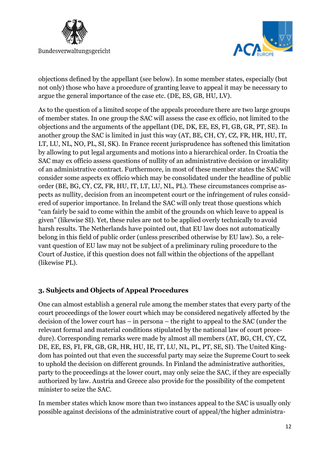



objections defined by the appellant (see below). In some member states, especially (but not only) those who have a procedure of granting leave to appeal it may be necessary to argue the general importance of the case etc. (DE, ES, GB, HU, LV).

As to the question of a limited scope of the appeals procedure there are two large groups of member states. In one group the SAC will assess the case ex officio, not limited to the objections and the arguments of the appellant (DE, DK, EE, ES, FI, GB, GR, PT, SE). In another group the SAC is limited in just this way (AT, BE, CH, CY, CZ, FR, HR, HU, IT, LT, LU, NL, NO, PL, SI, SK). In France recent jurisprudence has softened this limitation by allowing to put legal arguments and motions into a hierarchical order. In Croatia the SAC may ex officio assess questions of nullity of an administrative decision or invalidity of an administrative contract. Furthermore, in most of these member states the SAC will consider some aspects ex officio which may be consolidated under the headline of public order (BE, BG, CY, CZ, FR, HU, IT, LT, LU, NL, PL). These circumstances comprise aspects as nullity, decision from an incompetent court or the infringement of rules considered of superior importance. In Ireland the SAC will only treat those questions which "can fairly be said to come within the ambit of the grounds on which leave to appeal is given" (likewise SI). Yet, these rules are not to be applied overly technically to avoid harsh results. The Netherlands have pointed out, that EU law does not automatically belong in this field of public order (unless prescribed otherwise by EU law). So, a relevant question of EU law may not be subject of a preliminary ruling procedure to the Court of Justice, if this question does not fall within the objections of the appellant (likewise PL).

### **3. Subjects and Objects of Appeal Procedures**

One can almost establish a general rule among the member states that every party of the court proceedings of the lower court which may be considered negatively affected by the decision of the lower court has – in persona – the right to appeal to the SAC (under the relevant formal and material conditions stipulated by the national law of court procedure). Corresponding remarks were made by almost all members (AT, BG, CH, CY, CZ, DE, EE, ES, FI, FR, GB, GR, HR, HU, IE, IT, LU, NL, PL, PT, SE, SI). The United Kingdom has pointed out that even the successful party may seize the Supreme Court to seek to uphold the decision on different grounds. In Finland the administrative authorities, party to the proceedings at the lower court, may only seize the SAC, if they are especially authorized by law. Austria and Greece also provide for the possibility of the competent minister to seize the SAC.

In member states which know more than two instances appeal to the SAC is usually only possible against decisions of the administrative court of appeal/the higher administra-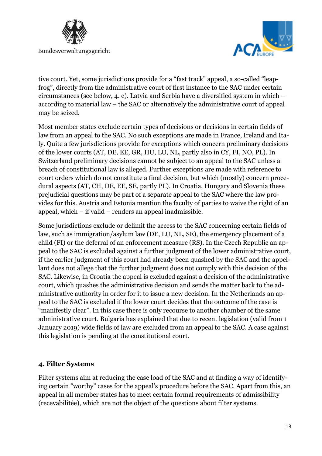



tive court. Yet, some jurisdictions provide for a "fast track" appeal, a so-called "leapfrog", directly from the administrative court of first instance to the SAC under certain circumstances (see below, 4. e). Latvia and Serbia have a diversified system in which – according to material law – the SAC or alternatively the administrative court of appeal may be seized.

Most member states exclude certain types of decisions or decisions in certain fields of law from an appeal to the SAC. No such exceptions are made in France, Ireland and Italy. Quite a few jurisdictions provide for exceptions which concern preliminary decisions of the lower courts (AT, DE, EE, GR, HU, LU, NL, partly also in CY, FI, NO, PL). In Switzerland preliminary decisions cannot be subject to an appeal to the SAC unless a breach of constitutional law is alleged. Further exceptions are made with reference to court orders which do not constitute a final decision, but which (mostly) concern procedural aspects (AT, CH, DE, EE, SE, partly PL). In Croatia, Hungary and Slovenia these prejudicial questions may be part of a separate appeal to the SAC where the law provides for this. Austria and Estonia mention the faculty of parties to waive the right of an appeal, which – if valid – renders an appeal inadmissible.

Some jurisdictions exclude or delimit the access to the SAC concerning certain fields of law, such as immigration/asylum law (DE, LU, NL, SE), the emergency placement of a child (FI) or the deferral of an enforcement measure (RS). In the Czech Republic an appeal to the SAC is excluded against a further judgment of the lower administrative court, if the earlier judgment of this court had already been quashed by the SAC and the appellant does not allege that the further judgment does not comply with this decision of the SAC. Likewise, in Croatia the appeal is excluded against a decision of the administrative court, which quashes the administrative decision and sends the matter back to the administrative authority in order for it to issue a new decision. In the Netherlands an appeal to the SAC is excluded if the lower court decides that the outcome of the case is "manifestly clear". In this case there is only recourse to another chamber of the same administrative court. Bulgaria has explained that due to recent legislation (valid from 1 January 2019) wide fields of law are excluded from an appeal to the SAC. A case against this legislation is pending at the constitutional court.

### **4. Filter Systems**

Filter systems aim at reducing the case load of the SAC and at finding a way of identifying certain "worthy" cases for the appeal's procedure before the SAC. Apart from this, an appeal in all member states has to meet certain formal requirements of admissibility (recevabilitée), which are not the object of the questions about filter systems.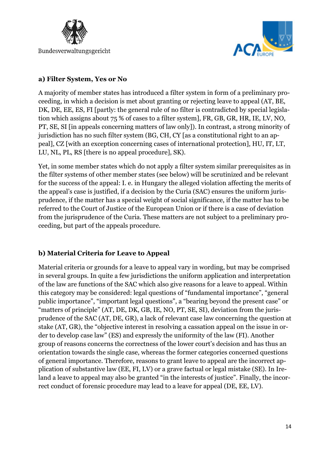



#### **a) Filter System, Yes or No**

A majority of member states has introduced a filter system in form of a preliminary proceeding, in which a decision is met about granting or rejecting leave to appeal (AT, BE, DK, DE, EE, ES, FI [partly: the general rule of no filter is contradicted by special legislation which assigns about 75 % of cases to a filter system], FR, GB, GR, HR, IE, LV, NO, PT, SE, SI [in appeals concerning matters of law only]). In contrast, a strong minority of jurisdiction has no such filter system (BG, CH, CY [as a constitutional right to an appeal], CZ [with an exception concerning cases of international protection], HU, IT, LT, LU, NL, PL, RS [there is no appeal procedure], SK).

Yet, in some member states which do not apply a filter system similar prerequisites as in the filter systems of other member states (see below) will be scrutinized and be relevant for the success of the appeal: I. e. in Hungary the alleged violation affecting the merits of the appeal's case is justified, if a decision by the Curia (SAC) ensures the uniform jurisprudence, if the matter has a special weight of social significance, if the matter has to be referred to the Court of Justice of the European Union or if there is a case of deviation from the jurisprudence of the Curia. These matters are not subject to a preliminary proceeding, but part of the appeals procedure.

# **b) Material Criteria for Leave to Appeal**

Material criteria or grounds for a leave to appeal vary in wording, but may be comprised in several groups. In quite a few jurisdictions the uniform application and interpretation of the law are functions of the SAC which also give reasons for a leave to appeal. Within this category may be considered: legal questions of "fundamental importance", "general public importance", "important legal questions", a "bearing beyond the present case" or "matters of principle" (AT, DE, DK, GB, IE, NO, PT, SE, SI), deviation from the jurisprudence of the SAC (AT, DE, GR), a lack of relevant case law concerning the question at stake (AT, GR), the "objective interest in resolving a cassation appeal on the issue in order to develop case law" (ES) and expressly the uniformity of the law (FI). Another group of reasons concerns the correctness of the lower court's decision and has thus an orientation towards the single case, whereas the former categories concerned questions of general importance. Therefore, reasons to grant leave to appeal are the incorrect application of substantive law (EE, FI, LV) or a grave factual or legal mistake (SE). In Ireland a leave to appeal may also be granted "in the interests of justice". Finally, the incorrect conduct of forensic procedure may lead to a leave for appeal (DE, EE, LV).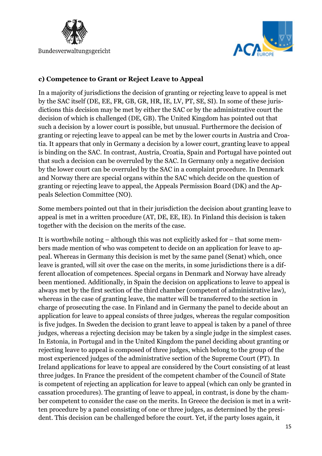



### **c) Competence to Grant or Reject Leave to Appeal**

In a majority of jurisdictions the decision of granting or rejecting leave to appeal is met by the SAC itself (DE, EE, FR, GB, GR, HR, IE, LV, PT, SE, SI). In some of these jurisdictions this decision may be met by either the SAC or by the administrative court the decision of which is challenged (DE, GB). The United Kingdom has pointed out that such a decision by a lower court is possible, but unusual. Furthermore the decision of granting or rejecting leave to appeal can be met by the lower courts in Austria and Croatia. It appears that only in Germany a decision by a lower court, granting leave to appeal is binding on the SAC. In contrast, Austria, Croatia, Spain and Portugal have pointed out that such a decision can be overruled by the SAC. In Germany only a negative decision by the lower court can be overruled by the SAC in a complaint procedure. In Denmark and Norway there are special organs within the SAC which decide on the question of granting or rejecting leave to appeal, the Appeals Permission Board (DK) and the Appeals Selection Committee (NO).

Some members pointed out that in their jurisdiction the decision about granting leave to appeal is met in a written procedure (AT, DE, EE, IE). In Finland this decision is taken together with the decision on the merits of the case.

It is worthwhile noting – although this was not explicitly asked for – that some members made mention of who was competent to decide on an application for leave to appeal. Whereas in Germany this decision is met by the same panel (Senat) which, once leave is granted, will sit over the case on the merits, in some jurisdictions there is a different allocation of competences. Special organs in Denmark and Norway have already been mentioned. Additionally, in Spain the decision on applications to leave to appeal is always met by the first section of the third chamber (competent of administrative law), whereas in the case of granting leave, the matter will be transferred to the section in charge of prosecuting the case. In Finland and in Germany the panel to decide about an application for leave to appeal consists of three judges, whereas the regular composition is five judges. In Sweden the decision to grant leave to appeal is taken by a panel of three judges, whereas a rejecting decision may be taken by a single judge in the simplest cases. In Estonia, in Portugal and in the United Kingdom the panel deciding about granting or rejecting leave to appeal is composed of three judges, which belong to the group of the most experienced judges of the administrative section of the Supreme Court (PT). In Ireland applications for leave to appeal are considered by the Court consisting of at least three judges. In France the president of the competent chamber of the Council of State is competent of rejecting an application for leave to appeal (which can only be granted in cassation procedures). The granting of leave to appeal, in contrast, is done by the chamber competent to consider the case on the merits. In Greece the decision is met in a written procedure by a panel consisting of one or three judges, as determined by the president. This decision can be challenged before the court. Yet, if the party loses again, it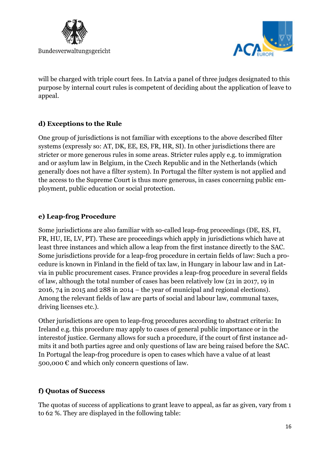

will be charged with triple court fees. In Latvia a panel of three judges designated to this purpose by internal court rules is competent of deciding about the application of leave to appeal.

# **d) Exceptions to the Rule**

One group of jurisdictions is not familiar with exceptions to the above described filter systems (expressly so: AT, DK, EE, ES, FR, HR, SI). In other jurisdictions there are stricter or more generous rules in some areas. Stricter rules apply e.g. to immigration and or asylum law in Belgium, in the Czech Republic and in the Netherlands (which generally does not have a filter system). In Portugal the filter system is not applied and the access to the Supreme Court is thus more generous, in cases concerning public employment, public education or social protection.

### **e) Leap-frog Procedure**

Some jurisdictions are also familiar with so-called leap-frog proceedings (DE, ES, FI, FR, HU, IE, LV, PT). These are proceedings which apply in jurisdictions which have at least three instances and which allow a leap from the first instance directly to the SAC. Some jurisdictions provide for a leap-frog procedure in certain fields of law: Such a procedure is known in Finland in the field of tax law, in Hungary in labour law and in Latvia in public procurement cases. France provides a leap-frog procedure in several fields of law, although the total number of cases has been relatively low (21 in 2017, 19 in 2016, 74 in 2015 and 288 in 2014 – the year of municipal and regional elections). Among the relevant fields of law are parts of social and labour law, communal taxes, driving licenses etc.).

Other jurisdictions are open to leap-frog procedures according to abstract criteria: In Ireland e.g. this procedure may apply to cases of general public importance or in the interestof justice. Germany allows for such a procedure, if the court of first instance admits it and both parties agree and only questions of law are being raised before the SAC. In Portugal the leap-frog procedure is open to cases which have a value of at least 500,000  $\epsilon$  and which only concern questions of law.

# **f) Quotas of Success**

The quotas of success of applications to grant leave to appeal, as far as given, vary from 1 to 62 %. They are displayed in the following table: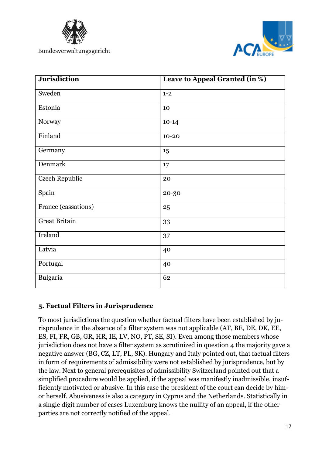



| <b>Jurisdiction</b>   | Leave to Appeal Granted (in %) |
|-----------------------|--------------------------------|
| Sweden                | $1 - 2$                        |
| Estonia               | 10                             |
| Norway                | $10-14$                        |
| Finland               | $10 - 20$                      |
| Germany               | 15                             |
| Denmark               | 17                             |
| <b>Czech Republic</b> | 20                             |
| Spain                 | 20-30                          |
| France (cassations)   | 25                             |
| <b>Great Britain</b>  | 33                             |
| Ireland               | 37                             |
| Latvia                | 40                             |
| Portugal              | 40                             |
| Bulgaria              | 62                             |

### **5. Factual Filters in Jurisprudence**

To most jurisdictions the question whether factual filters have been established by jurisprudence in the absence of a filter system was not applicable (AT, BE, DE, DK, EE, ES, FI, FR, GB, GR, HR, IE, LV, NO, PT, SE, SI). Even among those members whose jurisdiction does not have a filter system as scrutinized in question 4 the majority gave a negative answer (BG, CZ, LT, PL, SK). Hungary and Italy pointed out, that factual filters in form of requirements of admissibility were not established by jurisprudence, but by the law. Next to general prerequisites of admissibility Switzerland pointed out that a simplified procedure would be applied, if the appeal was manifestly inadmissible, insufficiently motivated or abusive. In this case the president of the court can decide by himor herself. Abusiveness is also a category in Cyprus and the Netherlands. Statistically in a single digit number of cases Luxemburg knows the nullity of an appeal, if the other parties are not correctly notified of the appeal.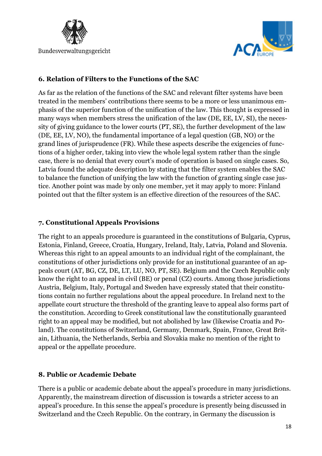



### **6. Relation of Filters to the Functions of the SAC**

As far as the relation of the functions of the SAC and relevant filter systems have been treated in the members' contributions there seems to be a more or less unanimous emphasis of the superior function of the unification of the law. This thought is expressed in many ways when members stress the unification of the law (DE, EE, LV, SI), the necessity of giving guidance to the lower courts (PT, SE), the further development of the law (DE, EE, LV, NO), the fundamental importance of a legal question (GB, NO) or the grand lines of jurisprudence (FR). While these aspects describe the exigencies of functions of a higher order, taking into view the whole legal system rather than the single case, there is no denial that every court's mode of operation is based on single cases. So, Latvia found the adequate description by stating that the filter system enables the SAC to balance the function of unifying the law with the function of granting single case justice. Another point was made by only one member, yet it may apply to more: Finland pointed out that the filter system is an effective direction of the resources of the SAC.

### **7. Constitutional Appeals Provisions**

The right to an appeals procedure is guaranteed in the constitutions of Bulgaria, Cyprus, Estonia, Finland, Greece, Croatia, Hungary, Ireland, Italy, Latvia, Poland and Slovenia. Whereas this right to an appeal amounts to an individual right of the complainant, the constitutions of other jurisdictions only provide for an institutional guarantee of an appeals court (AT, BG, CZ, DE, LT, LU, NO, PT, SE). Belgium and the Czech Republic only know the right to an appeal in civil (BE) or penal (CZ) courts. Among those jurisdictions Austria, Belgium, Italy, Portugal and Sweden have expressly stated that their constitutions contain no further regulations about the appeal procedure. In Ireland next to the appellate court structure the threshold of the granting leave to appeal also forms part of the constitution. According to Greek constitutional law the constitutionally guaranteed right to an appeal may be modified, but not abolished by law (likewise Croatia and Poland). The constitutions of Switzerland, Germany, Denmark, Spain, France, Great Britain, Lithuania, the Netherlands, Serbia and Slovakia make no mention of the right to appeal or the appellate procedure.

### **8. Public or Academic Debate**

There is a public or academic debate about the appeal's procedure in many jurisdictions. Apparently, the mainstream direction of discussion is towards a stricter access to an appeal's procedure. In this sense the appeal's procedure is presently being discussed in Switzerland and the Czech Republic. On the contrary, in Germany the discussion is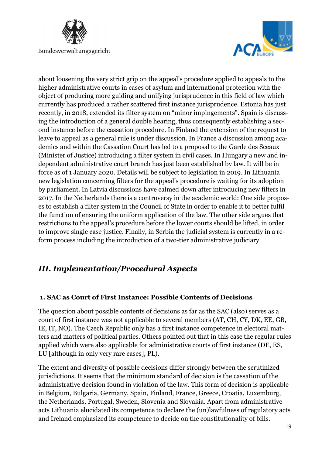



about loosening the very strict grip on the appeal's procedure applied to appeals to the higher administrative courts in cases of asylum and international protection with the object of producing more guiding and unifying jurisprudence in this field of law which currently has produced a rather scattered first instance jurisprudence. Estonia has just recently, in 2018, extended its filter system on "minor impingements". Spain is discussing the introduction of a general double hearing, thus consequently establishing a second instance before the cassation procedure. In Finland the extension of the request to leave to appeal as a general rule is under discussion. In France a discussion among academics and within the Cassation Court has led to a proposal to the Garde des Sceaux (Minister of Justice) introducing a filter system in civil cases. In Hungary a new and independent administrative court branch has just been established by law. It will be in force as of 1 January 2020. Details will be subject to legislation in 2019. In Lithuania new legislation concerning filters for the appeal's procedure is waiting for its adoption by parliament. In Latvia discussions have calmed down after introducing new filters in 2017. In the Netherlands there is a controversy in the academic world: One side proposes to establish a filter system in the Council of State in order to enable it to better fulfil the function of ensuring the uniform application of the law. The other side argues that restrictions to the appeal's procedure before the lower courts should be lifted, in order to improve single case justice. Finally, in Serbia the judicial system is currently in a reform process including the introduction of a two-tier administrative judiciary.

# *III. Implementation/Procedural Aspects*

# **1. SAC as Court of First Instance: Possible Contents of Decisions**

The question about possible contents of decisions as far as the SAC (also) serves as a court of first instance was not applicable to several members (AT, CH, CY, DK, EE, GB, IE, IT, NO). The Czech Republic only has a first instance competence in electoral matters and matters of political parties. Others pointed out that in this case the regular rules applied which were also applicable for administrative courts of first instance (DE, ES, LU [although in only very rare cases], PL).

The extent and diversity of possible decisions differ strongly between the scrutinized jurisdictions. It seems that the minimum standard of decision is the cassation of the administrative decision found in violation of the law. This form of decision is applicable in Belgium, Bulgaria, Germany, Spain, Finland, France, Greece, Croatia, Luxemburg, the Netherlands, Portugal, Sweden, Slovenia and Slovakia. Apart from administrative acts Lithuania elucidated its competence to declare the (un)lawfulness of regulatory acts and Ireland emphasized its competence to decide on the constitutionality of bills.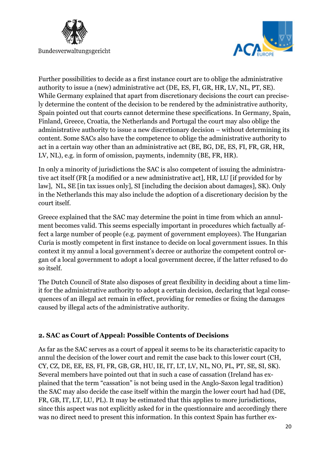



Further possibilities to decide as a first instance court are to oblige the administrative authority to issue a (new) administrative act (DE, ES, FI, GR, HR, LV, NL, PT, SE). While Germany explained that apart from discretionary decisions the court can precisely determine the content of the decision to be rendered by the administrative authority, Spain pointed out that courts cannot determine these specifications. In Germany, Spain, Finland, Greece, Croatia, the Netherlands and Portugal the court may also oblige the administrative authority to issue a new discretionary decision – without determining its content. Some SACs also have the competence to oblige the administrative authority to act in a certain way other than an administrative act (BE, BG, DE, ES, FI, FR, GR, HR, LV, NL), e.g. in form of omission, payments, indemnity (BE, FR, HR).

In only a minority of jurisdictions the SAC is also competent of issuing the administrative act itself (FR [a modified or a new administrative act], HR, LU [if provided for by law], NL, SE [in tax issues only], SI [including the decision about damages], SK). Only in the Netherlands this may also include the adoption of a discretionary decision by the court itself.

Greece explained that the SAC may determine the point in time from which an annulment becomes valid. This seems especially important in procedures which factually affect a large number of people (e.g. payment of government employees). The Hungarian Curia is mostly competent in first instance to decide on local government issues. In this context it my annul a local government's decree or authorize the competent control organ of a local government to adopt a local government decree, if the latter refused to do so itself.

The Dutch Council of State also disposes of great flexibility in deciding about a time limit for the administrative authority to adopt a certain decision, declaring that legal consequences of an illegal act remain in effect, providing for remedies or fixing the damages caused by illegal acts of the administrative authority.

### **2. SAC as Court of Appeal: Possible Contents of Decisions**

As far as the SAC serves as a court of appeal it seems to be its characteristic capacity to annul the decision of the lower court and remit the case back to this lower court (CH, CY, CZ, DE, EE, ES, FI, FR, GB, GR, HU, IE, IT, LT, LV, NL, NO, PL, PT, SE, SI, SK). Several members have pointed out that in such a case of cassation (Ireland has explained that the term "cassation" is not being used in the Anglo-Saxon legal tradition) the SAC may also decide the case itself within the margin the lower court had had (DE, FR, GB, IT, LT, LU, PL). It may be estimated that this applies to more jurisdictions, since this aspect was not explicitly asked for in the questionnaire and accordingly there was no direct need to present this information. In this context Spain has further ex-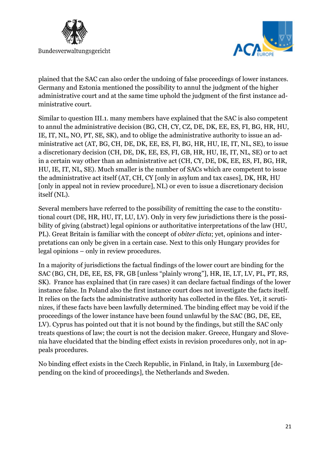



plained that the SAC can also order the undoing of false proceedings of lower instances. Germany and Estonia mentioned the possibility to annul the judgment of the higher administrative court and at the same time uphold the judgment of the first instance administrative court.

Similar to question III.1. many members have explained that the SAC is also competent to annul the administrative decision (BG, CH, CY, CZ, DE, DK, EE, ES, FI, BG, HR, HU, IE, IT, NL, NO, PT, SE, SK), and to oblige the administrative authority to issue an administrative act (AT, BG, CH, DE, DK, EE, ES, FI, BG, HR, HU, IE, IT, NL, SE), to issue a discretionary decision (CH, DE, DK, EE, ES, FI, GB, HR, HU, IE, IT, NL, SE) or to act in a certain way other than an administrative act (CH, CY, DE, DK, EE, ES, FI, BG, HR, HU, IE, IT, NL, SE). Much smaller is the number of SACs which are competent to issue the administrative act itself (AT, CH, CY [only in asylum and tax cases], DK, HR, HU [only in appeal not in review procedure], NL) or even to issue a discretionary decision itself (NL).

Several members have referred to the possibility of remitting the case to the constitutional court (DE, HR, HU, IT, LU, LV). Only in very few jurisdictions there is the possibility of giving (abstract) legal opinions or authoritative interpretations of the law (HU, PL). Great Britain is familiar with the concept of *obiter dicta*; yet, opinions and interpretations can only be given in a certain case. Next to this only Hungary provides for legal opinions – only in review procedures.

In a majority of jurisdictions the factual findings of the lower court are binding for the SAC (BG, CH, DE, EE, ES, FR, GB [unless "plainly wrong"], HR, IE, LT, LV, PL, PT, RS, SK). France has explained that (in rare cases) it can declare factual findings of the lower instance false. In Poland also the first instance court does not investigate the facts itself. It relies on the facts the administrative authority has collected in the files. Yet, it scrutinizes, if these facts have been lawfully determined. The binding effect may be void if the proceedings of the lower instance have been found unlawful by the SAC (BG, DE, EE, LV). Cyprus has pointed out that it is not bound by the findings, but still the SAC only treats questions of law; the court is not the decision maker. Greece, Hungary and Slovenia have elucidated that the binding effect exists in revision procedures only, not in appeals procedures.

No binding effect exists in the Czech Republic, in Finland, in Italy, in Luxemburg [depending on the kind of proceedings], the Netherlands and Sweden.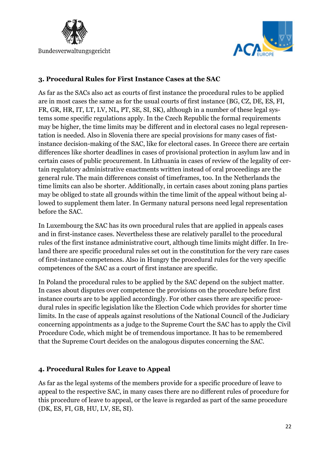



### **3. Procedural Rules for First Instance Cases at the SAC**

As far as the SACs also act as courts of first instance the procedural rules to be applied are in most cases the same as for the usual courts of first instance (BG, CZ, DE, ES, FI, FR, GR, HR, IT, LT, LV, NL, PT, SE, SI, SK), although in a number of these legal systems some specific regulations apply. In the Czech Republic the formal requirements may be higher, the time limits may be different and in electoral cases no legal representation is needed. Also in Slovenia there are special provisions for many cases of fistinstance decision-making of the SAC, like for electoral cases. In Greece there are certain differences like shorter deadlines in cases of provisional protection in asylum law and in certain cases of public procurement. In Lithuania in cases of review of the legality of certain regulatory administrative enactments written instead of oral proceedings are the general rule. The main differences consist of timeframes, too. In the Netherlands the time limits can also be shorter. Additionally, in certain cases about zoning plans parties may be obliged to state all grounds within the time limit of the appeal without being allowed to supplement them later. In Germany natural persons need legal representation before the SAC.

In Luxembourg the SAC has its own procedural rules that are applied in appeals cases and in first-instance cases. Nevertheless these are relatively parallel to the procedural rules of the first instance administrative court, although time limits might differ. In Ireland there are specific procedural rules set out in the constitution for the very rare cases of first-instance competences. Also in Hungry the procedural rules for the very specific competences of the SAC as a court of first instance are specific.

In Poland the procedural rules to be applied by the SAC depend on the subject matter. In cases about disputes over competence the provisions on the procedure before first instance courts are to be applied accordingly. For other cases there are specific procedural rules in specific legislation like the Election Code which provides for shorter time limits. In the case of appeals against resolutions of the National Council of the Judiciary concerning appointments as a judge to the Supreme Court the SAC has to apply the Civil Procedure Code, which might be of tremendous importance. It has to be remembered that the Supreme Court decides on the analogous disputes concerning the SAC.

# **4. Procedural Rules for Leave to Appeal**

As far as the legal systems of the members provide for a specific procedure of leave to appeal to the respective SAC, in many cases there are no different rules of procedure for this procedure of leave to appeal, or the leave is regarded as part of the same procedure (DK, ES, FI, GB, HU, LV, SE, SI).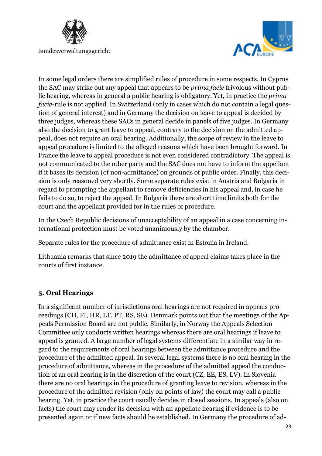



In some legal orders there are simplified rules of procedure in some respects. In Cyprus the SAC may strike out any appeal that appears to be *prima facie* frivolous without public hearing, whereas in general a public hearing is obligatory. Yet, in practice the *prima facie*-rule is not applied. In Switzerland (only in cases which do not contain a legal question of general interest) and in Germany the decision on leave to appeal is decided by three judges, whereas these SACs in general decide in panels of five judges. In Germany also the decision to grant leave to appeal, contrary to the decision on the admitted appeal, does not require an oral hearing. Additionally, the scope of review in the leave to appeal procedure is limited to the alleged reasons which have been brought forward. In France the leave to appeal procedure is not even considered contradictory. The appeal is not communicated to the other party and the SAC does not have to inform the appellant if it bases its decision (of non-admittance) on grounds of public order. Finally, this decision is only reasoned very shortly. Some separate rules exist in Austria and Bulgaria in regard to prompting the appellant to remove deficiencies in his appeal and, in case he fails to do so, to reject the appeal. In Bulgaria there are short time limits both for the court and the appellant provided for in the rules of procedure.

In the Czech Republic decisions of unacceptability of an appeal in a case concerning international protection must be voted unanimously by the chamber.

Separate rules for the procedure of admittance exist in Estonia in Ireland.

Lithuania remarks that since 2019 the admittance of appeal claims takes place in the courts of first instance.

### **5. Oral Hearings**

In a significant number of jurisdictions oral hearings are not required in appeals proceedings (CH, FI, HR, LT, PT, RS, SE). Denmark points out that the meetings of the Appeals Permission Board are not public. Similarly, in Norway the Appeals Selection Committee only conducts written hearings whereas there are oral hearings if leave to appeal is granted. A large number of legal systems differentiate in a similar way in regard to the requirements of oral hearings between the admittance procedure and the procedure of the admitted appeal. In several legal systems there is no oral hearing in the procedure of admittance, whereas in the procedure of the admitted appeal the conduction of an oral hearing is in the discretion of the court (CZ, EE, ES, LV). In Slovenia there are no oral hearings in the procedure of granting leave to revision, whereas in the procedure of the admitted revision (only on points of law) the court may call a public hearing. Yet, in practice the court usually decides in closed sessions. In appeals (also on facts) the court may render its decision with an appellate hearing if evidence is to be presented again or if new facts should be established. In Germany the procedure of ad-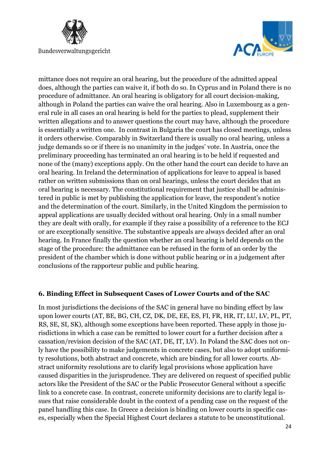



mittance does not require an oral hearing, but the procedure of the admitted appeal does, although the parties can waive it, if both do so. In Cyprus and in Poland there is no procedure of admittance. An oral hearing is obligatory for all court decision-making, although in Poland the parties can waive the oral hearing. Also in Luxembourg as a general rule in all cases an oral hearing is held for the parties to plead, supplement their written allegations and to answer questions the court may have, although the procedure is essentially a written one. In contrast in Bulgaria the court has closed meetings, unless it orders otherwise. Comparably in Switzerland there is usually no oral hearing, unless a judge demands so or if there is no unanimity in the judges' vote. In Austria, once the preliminary proceeding has terminated an oral hearing is to be held if requested and none of the (many) exceptions apply. On the other hand the court can decide to have an oral hearing. In Ireland the determination of applications for leave to appeal is based rather on written submissions than on oral hearings, unless the court decides that an oral hearing is necessary. The constitutional requirement that justice shall be administered in public is met by publishing the application for leave, the respondent's notice and the determination of the court. Similarly, in the United Kingdom the permission to appeal applications are usually decided without oral hearing. Only in a small number they are dealt with orally, for example if they raise a possibility of a reference to the ECJ or are exceptionally sensitive. The substantive appeals are always decided after an oral hearing. In France finally the question whether an oral hearing is held depends on the stage of the procedure: the admittance can be refused in the form of an order by the president of the chamber which is done without public hearing or in a judgement after conclusions of the rapporteur public and public hearing.

### **6. Binding Effect in Subsequent Cases of Lower Courts and of the SAC**

In most jurisdictions the decisions of the SAC in general have no binding effect by law upon lower courts (AT, BE, BG, CH, CZ, DK, DE, EE, ES, FI, FR, HR, IT, LU, LV, PL, PT, RS, SE, SI, SK), although some exceptions have been reported. These apply in those jurisdictions in which a case can be remitted to lower court for a further decision after a cassation/revision decision of the SAC (AT, DE, IT, LV). In Poland the SAC does not only have the possibility to make judgements in concrete cases, but also to adopt uniformity resolutions, both abstract and concrete, which are binding for all lower courts. Abstract uniformity resolutions are to clarify legal provisions whose application have caused disparities in the jurisprudence. They are delivered on request of specified public actors like the President of the SAC or the Public Prosecutor General without a specific link to a concrete case. In contrast, concrete uniformity decisions are to clarify legal issues that raise considerable doubt in the context of a pending case on the request of the panel handling this case. In Greece a decision is binding on lower courts in specific cases, especially when the Special Highest Court declares a statute to be unconstitutional.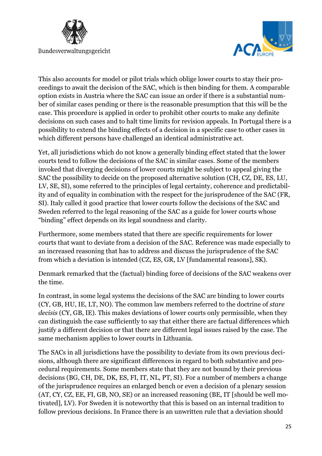



This also accounts for model or pilot trials which oblige lower courts to stay their proceedings to await the decision of the SAC, which is then binding for them. A comparable option exists in Austria where the SAC can issue an order if there is a substantial number of similar cases pending or there is the reasonable presumption that this will be the case. This procedure is applied in order to prohibit other courts to make any definite decisions on such cases and to halt time limits for revision appeals. In Portugal there is a possibility to extend the binding effects of a decision in a specific case to other cases in which different persons have challenged an identical administrative act.

Yet, all jurisdictions which do not know a generally binding effect stated that the lower courts tend to follow the decisions of the SAC in similar cases. Some of the members invoked that diverging decisions of lower courts might be subject to appeal giving the SAC the possibility to decide on the proposed alternative solution (CH, CZ, DE, ES, LU, LV, SE, SI), some referred to the principles of legal certainty, coherence and predictability and of equality in combination with the respect for the jurisprudence of the SAC (FR, SI). Italy called it good practice that lower courts follow the decisions of the SAC and Sweden referred to the legal reasoning of the SAC as a guide for lower courts whose "binding" effect depends on its legal soundness and clarity.

Furthermore, some members stated that there are specific requirements for lower courts that want to deviate from a decision of the SAC. Reference was made especially to an increased reasoning that has to address and discuss the jurisprudence of the SAC from which a deviation is intended (CZ, ES, GR, LV [fundamental reasons], SK).

Denmark remarked that the (factual) binding force of decisions of the SAC weakens over the time.

In contrast, in some legal systems the decisions of the SAC are binding to lower courts (CY, GB, HU, IE, LT, NO). The common law members referred to the doctrine of *stare decisis* (CY, GB, IE). This makes deviations of lower courts only permissible, when they can distinguish the case sufficiently to say that either there are factual differences which justify a different decision or that there are different legal issues raised by the case. The same mechanism applies to lower courts in Lithuania.

The SACs in all jurisdictions have the possibility to deviate from its own previous decisions, although there are significant differences in regard to both substantive and procedural requirements. Some members state that they are not bound by their previous decisions (BG, CH, DE, DK, ES, FI, IT, NL, PT, SI). For a number of members a change of the jurisprudence requires an enlarged bench or even a decision of a plenary session (AT, CY, CZ, EE, FI, GB, NO, SE) or an increased reasoning (BE, IT [should be well motivated], LV). For Sweden it is noteworthy that this is based on an internal tradition to follow previous decisions. In France there is an unwritten rule that a deviation should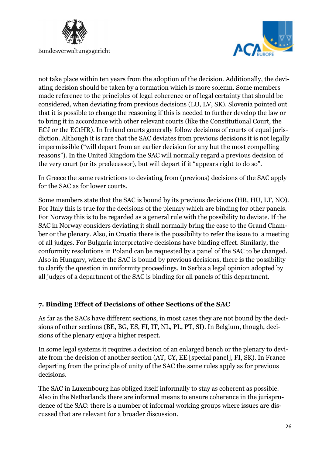



not take place within ten years from the adoption of the decision. Additionally, the deviating decision should be taken by a formation which is more solemn. Some members made reference to the principles of legal coherence or of legal certainty that should be considered, when deviating from previous decisions (LU, LV, SK). Slovenia pointed out that it is possible to change the reasoning if this is needed to further develop the law or to bring it in accordance with other relevant courts (like the Constitutional Court, the ECJ or the ECtHR). In Ireland courts generally follow decisions of courts of equal jurisdiction. Although it is rare that the SAC deviates from previous decisions it is not legally impermissible ("will depart from an earlier decision for any but the most compelling reasons"). In the United Kingdom the SAC will normally regard a previous decision of the very court (or its predecessor), but will depart if it "appears right to do so".

In Greece the same restrictions to deviating from (previous) decisions of the SAC apply for the SAC as for lower courts.

Some members state that the SAC is bound by its previous decisions (HR, HU, LT, NO). For Italy this is true for the decisions of the plenary which are binding for other panels. For Norway this is to be regarded as a general rule with the possibility to deviate. If the SAC in Norway considers deviating it shall normally bring the case to the Grand Chamber or the plenary. Also, in Croatia there is the possibility to refer the issue to a meeting of all judges. For Bulgaria interpretative decisions have binding effect. Similarly, the conformity resolutions in Poland can be requested by a panel of the SAC to be changed. Also in Hungary, where the SAC is bound by previous decisions, there is the possibility to clarify the question in uniformity proceedings. In Serbia a legal opinion adopted by all judges of a department of the SAC is binding for all panels of this department.

### **7. Binding Effect of Decisions of other Sections of the SAC**

As far as the SACs have different sections, in most cases they are not bound by the decisions of other sections (BE, BG, ES, FI, IT, NL, PL, PT, SI). In Belgium, though, decisions of the plenary enjoy a higher respect.

In some legal systems it requires a decision of an enlarged bench or the plenary to deviate from the decision of another section (AT, CY, EE [special panel], FI, SK). In France departing from the principle of unity of the SAC the same rules apply as for previous decisions.

The SAC in Luxembourg has obliged itself informally to stay as coherent as possible. Also in the Netherlands there are informal means to ensure coherence in the jurisprudence of the SAC: there is a number of informal working groups where issues are discussed that are relevant for a broader discussion.